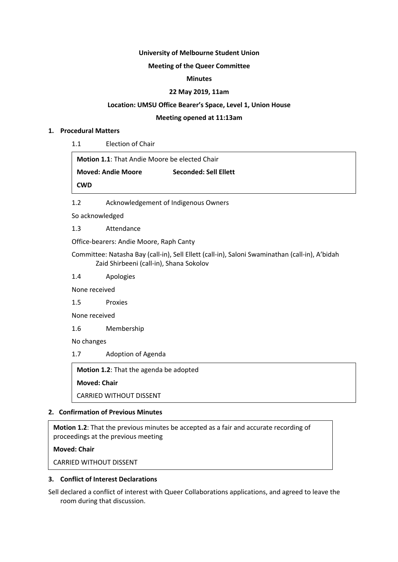#### **University of Melbourne Student Union**

## **Meeting of the Queer Committee**

#### **Minutes**

#### **22 May 2019, 11am**

#### **Location: UMSU Office Bearer's Space, Level 1, Union House**

#### **Meeting opened at 11:13am**

#### **1. Procedural Matters**

1.1 Election of Chair

**Motion 1.1**: That Andie Moore be elected Chair

**Moved: Andie Moore Seconded: Sell Ellett**

**CWD**

1.2 Acknowledgement of Indigenous Owners

So acknowledged

1.3 Attendance

Office-bearers: Andie Moore, Raph Canty

Committee: Natasha Bay (call-in), Sell Ellett (call-in), Saloni Swaminathan (call-in), A'bidah Zaid Shirbeeni (call-in), Shana Sokolov

1.4 Apologies

None received

1.5 Proxies

None received

1.6 Membership

No changes

1.7 Adoption of Agenda

**Motion 1.2**: That the agenda be adopted

**Moved: Chair**

CARRIED WITHOUT DISSENT

## **2. Confirmation of Previous Minutes**

**Motion 1.2**: That the previous minutes be accepted as a fair and accurate recording of proceedings at the previous meeting

## **Moved: Chair**

CARRIED WITHOUT DISSENT

## **3. Conflict of Interest Declarations**

Sell declared a conflict of interest with Queer Collaborations applications, and agreed to leave the room during that discussion.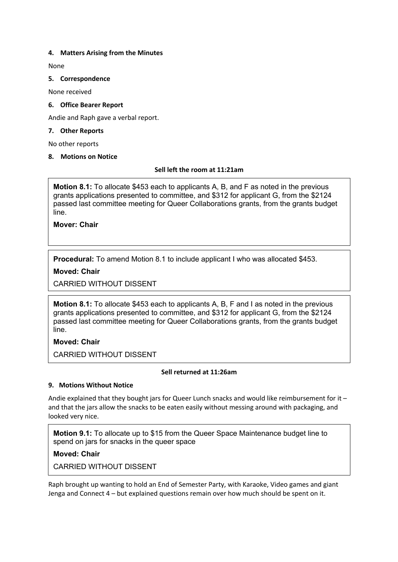## **4. Matters Arising from the Minutes**

None

## **5. Correspondence**

None received

## **6. Office Bearer Report**

Andie and Raph gave a verbal report.

## **7. Other Reports**

No other reports

## **8. Motions on Notice**

## **Sell left the room at 11:21am**

**Motion 8.1:** To allocate \$453 each to applicants A, B, and F as noted in the previous grants applications presented to committee, and \$312 for applicant G, from the \$2124 passed last committee meeting for Queer Collaborations grants, from the grants budget line.

**Mover: Chair**

**Procedural:** To amend Motion 8.1 to include applicant I who was allocated \$453.

# **Moved: Chair**

CARRIED WITHOUT DISSENT

**Motion 8.1:** To allocate \$453 each to applicants A, B, F and I as noted in the previous grants applications presented to committee, and \$312 for applicant G, from the \$2124 passed last committee meeting for Queer Collaborations grants, from the grants budget line.

# **Moved: Chair**

CARRIED WITHOUT DISSENT

## **Sell returned at 11:26am**

# **9. Motions Without Notice**

Andie explained that they bought jars for Queer Lunch snacks and would like reimbursement for it and that the jars allow the snacks to be eaten easily without messing around with packaging, and looked very nice.

**Motion 9.1:** To allocate up to \$15 from the Queer Space Maintenance budget line to spend on jars for snacks in the queer space

**Moved: Chair**

CARRIED WITHOUT DISSENT

Raph brought up wanting to hold an End of Semester Party, with Karaoke, Video games and giant Jenga and Connect 4 – but explained questions remain over how much should be spent on it.